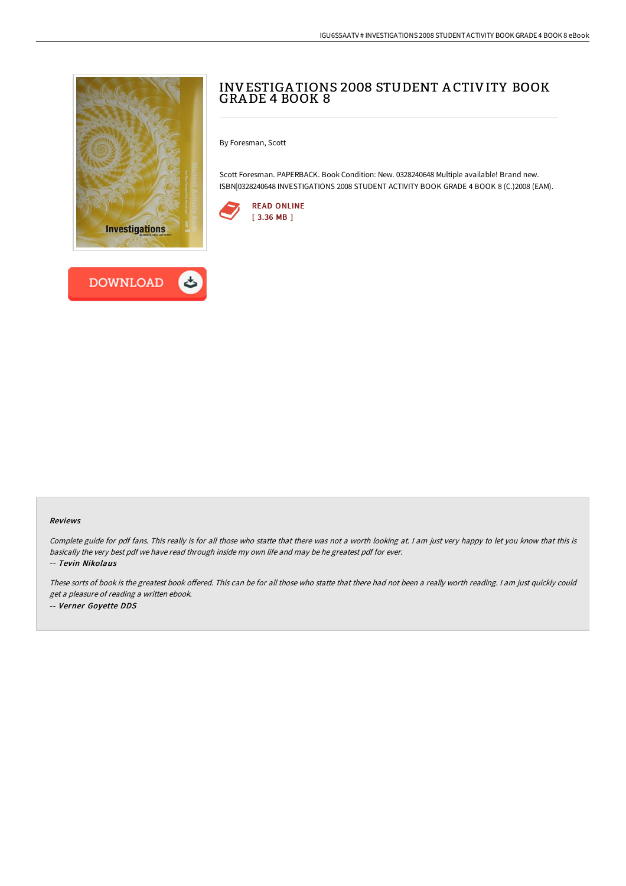



# INVESTIGA TIONS 2008 STUDENT A CTIVITY BOOK GRA DE 4 BOOK 8

By Foresman, Scott

Scott Foresman. PAPERBACK. Book Condition: New. 0328240648 Multiple available! Brand new. ISBN|0328240648 INVESTIGATIONS 2008 STUDENT ACTIVITY BOOK GRADE 4 BOOK 8 (C.)2008 (EAM).



#### Reviews

Complete guide for pdf fans. This really is for all those who statte that there was not <sup>a</sup> worth looking at. <sup>I</sup> am just very happy to let you know that this is basically the very best pdf we have read through inside my own life and may be he greatest pdf for ever.

-- Tevin Nikolaus

These sorts of book is the greatest book offered. This can be for all those who statte that there had not been a really worth reading. I am just quickly could get <sup>a</sup> pleasure of reading <sup>a</sup> written ebook. -- Verner Goyette DDS